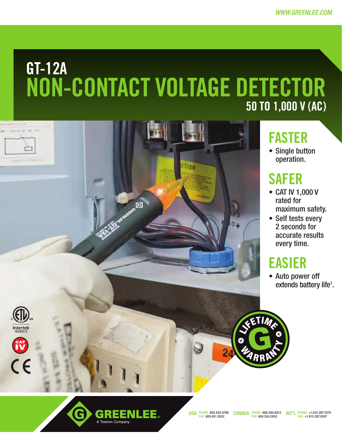# GT-12A NON-CONTACT VOLTAGE DETECTOR 50 to 1,000 V (AC)